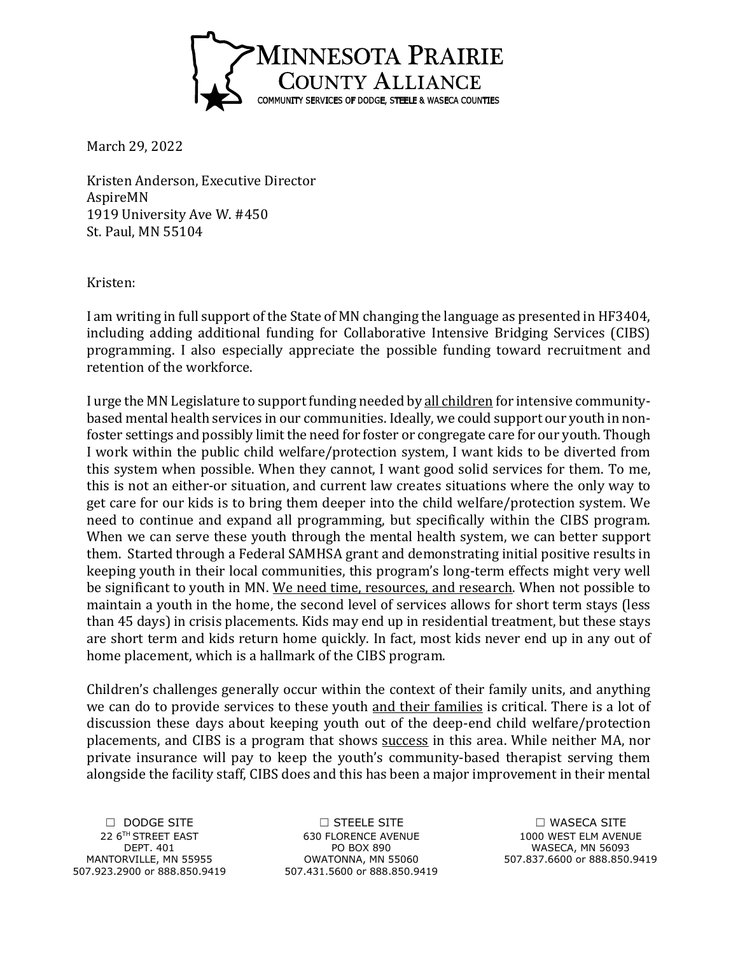

March 29, 2022

Kristen Anderson, Executive Director AspireMN 1919 University Ave W. #450 St. Paul, MN 55104

Kristen:

I am writing in full support of the State of MN changing the language as presented in HF3404, including adding additional funding for Collaborative Intensive Bridging Services (CIBS) programming. I also especially appreciate the possible funding toward recruitment and retention of the workforce.

I urge the MN Legislature to support funding needed by all children for intensive communitybased mental health services in our communities. Ideally, we could support our youth in nonfoster settings and possibly limit the need for foster or congregate care for our youth. Though I work within the public child welfare/protection system, I want kids to be diverted from this system when possible. When they cannot, I want good solid services for them. To me, this is not an either-or situation, and current law creates situations where the only way to get care for our kids is to bring them deeper into the child welfare/protection system. We need to continue and expand all programming, but specifically within the CIBS program. When we can serve these youth through the mental health system, we can better support them. Started through a Federal SAMHSA grant and demonstrating initial positive results in keeping youth in their local communities, this program's long-term effects might very well be significant to youth in MN. We need time, resources, and research. When not possible to maintain a youth in the home, the second level of services allows for short term stays (less than 45 days) in crisis placements. Kids may end up in residential treatment, but these stays are short term and kids return home quickly. In fact, most kids never end up in any out of home placement, which is a hallmark of the CIBS program.

Children's challenges generally occur within the context of their family units, and anything we can do to provide services to these youth and their families is critical. There is a lot of discussion these days about keeping youth out of the deep-end child welfare/protection placements, and CIBS is a program that shows success in this area. While neither MA, nor private insurance will pay to keep the youth's community-based therapist serving them alongside the facility staff, CIBS does and this has been a major improvement in their mental

☐ DODGE SITE 22 6TH STREET EAST DEPT. 401 MANTORVILLE, MN 55955 507.923.2900 or 888.850.9419

☐ STEELE SITE 630 FLORENCE AVENUE PO BOX 890 OWATONNA, MN 55060 507.431.5600 or 888.850.9419

☐ WASECA SITE 1000 WEST ELM AVENUE WASECA, MN 56093 507.837.6600 or 888.850.9419